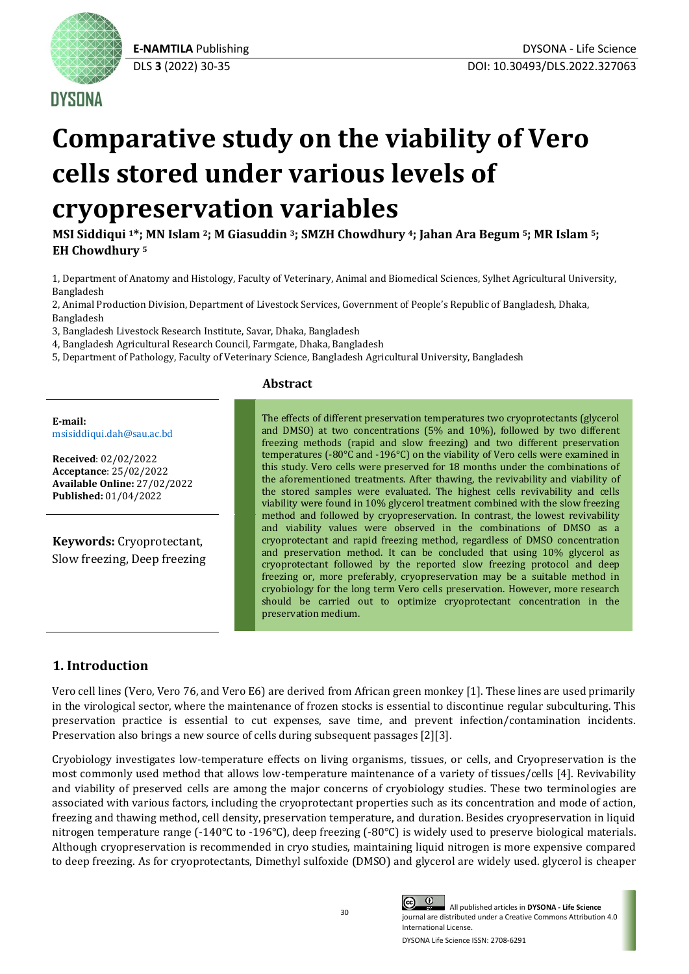

## **DYSONA**

# **Comparative study on the viability of Vero cells stored under various levels of cryopreservation variables**

**MSI Siddiqui <sup>1</sup>\*; MN Islam <sup>2</sup>; M Giasuddin <sup>3</sup>; SMZH Chowdhury <sup>4</sup>; Jahan Ara Begum <sup>5</sup>; MR Islam <sup>5</sup>; EH Chowdhury <sup>5</sup>**

1, Department of Anatomy and Histology, Faculty of Veterinary, Animal and Biomedical Sciences, Sylhet Agricultural University, Bangladesh

2, Animal Production Division, Department of Livestock Services, Government of People's Republic of Bangladesh, Dhaka, Bangladesh

3, Bangladesh Livestock Research Institute, Savar, Dhaka, Bangladesh

4, Bangladesh Agricultural Research Council, Farmgate, Dhaka, Bangladesh

5, Department of Pathology, Faculty of Veterinary Science, Bangladesh Agricultural University, Bangladesh

## **Abstract**

**E-mail:** [msisiddiqui.dah@sau.ac.bd](mailto:msisiddiqui.dah@sau.ac.bd)

**Received**: 02/02/2022 **Acceptance**: 25/02/2022 **Available Online:** 27/02/2022 **Published:** 01/04/2022

**Keywords:** Cryoprotectant, Slow freezing, Deep freezing The effects of different preservation temperatures two cryoprotectants (glycerol and DMSO) at two concentrations (5% and 10%), followed by two different freezing methods (rapid and slow freezing) and two different preservation temperatures (-80°C and -196°C) on the viability of Vero cells were examined in this study. Vero cells were preserved for 18 months under the combinations of the aforementioned treatments. After thawing, the revivability and viability of the stored samples were evaluated. The highest cells revivability and cells viability were found in 10% glycerol treatment combined with the slow freezing method and followed by cryopreservation. In contrast, the lowest revivability and viability values were observed in the combinations of DMSO as a cryoprotectant and rapid freezing method, regardless of DMSO concentration and preservation method. It can be concluded that using 10% glycerol as cryoprotectant followed by the reported slow freezing protocol and deep freezing or, more preferably, cryopreservation may be a suitable method in cryobiology for the long term Vero cells preservation. However, more research should be carried out to optimize cryoprotectant concentration in the preservation medium.

## **1. Introduction**

Vero cell lines (Vero, Vero 76, and Vero E6) are derived from African green monkey [1]. These lines are used primarily in the virological sector, where the maintenance of frozen stocks is essential to discontinue regular subculturing. This preservation practice is essential to cut expenses, save time, and prevent infection/contamination incidents. Preservation also brings a new source of cells during subsequent passages [2][3].

Cryobiology investigates low-temperature effects on living organisms, tissues, or cells, and Cryopreservation is the most commonly used method that allows low-temperature maintenance of a variety of tissues/cells [4]. Revivability and viability of preserved cells are among the major concerns of cryobiology studies. These two terminologies are associated with various factors, including the cryoprotectant properties such as its concentration and mode of action, freezing and thawing method, cell density, preservation temperature, and duration. Besides cryopreservation in liquid nitrogen temperature range  $(-140^{\circ}C \text{ to } -196^{\circ}C)$ , deep freezing  $(-80^{\circ}C)$  is widely used to preserve biological materials. Although cryopreservation is recommended in cryo studies, maintaining liquid nitrogen is more expensive compared to deep freezing. As for cryoprotectants, Dimethyl sulfoxide (DMSO) and glycerol are widely used. glycerol is cheaper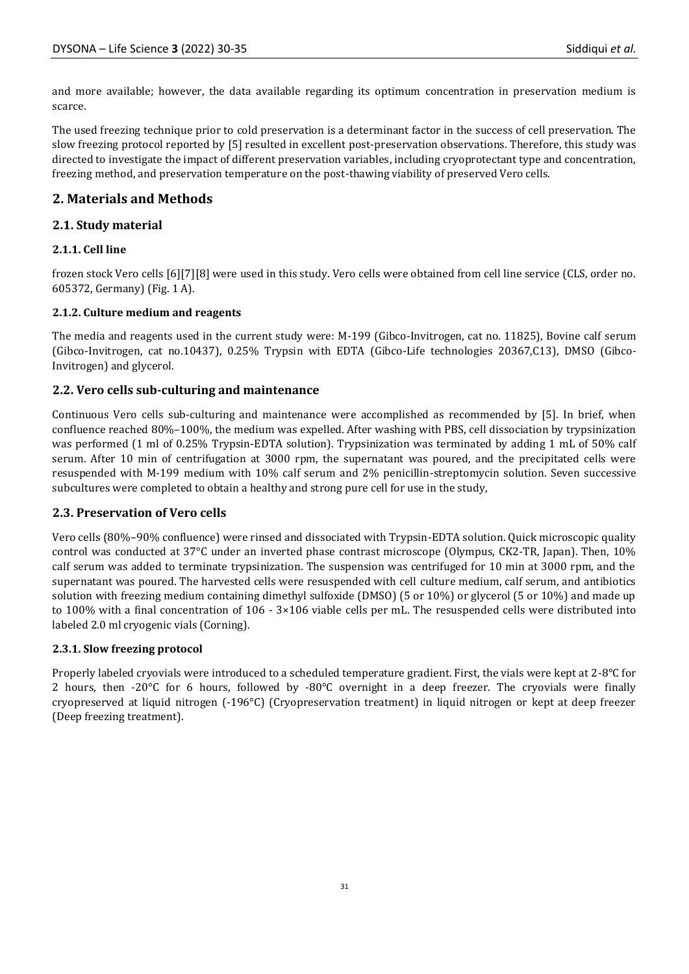and more available; however, the data available regarding its optimum concentration in preservation medium is scarce.

The used freezing technique prior to cold preservation is a determinant factor in the success of cell preservation. The slow freezing protocol reported by [5] resulted in excellent post-preservation observations. Therefore, this study was directed to investigate the impact of different preservation variables, including cryoprotectant type and concentration, freezing method, and preservation temperature on the post-thawing viability of preserved Vero cells.

## **2. Materials and Methods**

## **2.1. Study material**

## **2.1.1. Cell line**

frozen stock Vero cells [6][7][8] were used in this study. Vero cells were obtained from cell line service (CLS, order no. 605372, Germany) (Fig. 1 A).

## **2.1.2. Culture medium and reagents**

The media and reagents used in the current study were: M-199 (Gibco-Invitrogen, cat no. 11825), Bovine calf serum (Gibco-Invitrogen, cat no.10437), 0.25% Trypsin with EDTA (Gibco-Life technologies 20367,C13), DMSO (Gibco-Invitrogen) and glycerol.

## **2.2. Vero cells sub-culturing and maintenance**

Continuous Vero cells sub-culturing and maintenance were accomplished as recommended by [5]. In brief, when confluence reached 80%–100%, the medium was expelled. After washing with PBS, cell dissociation by trypsinization was performed (1 ml of 0.25% Trypsin-EDTA solution). Trypsinization was terminated by adding 1 mL of 50% calf serum. After 10 min of centrifugation at 3000 rpm, the supernatant was poured, and the precipitated cells were resuspended with M-199 medium with 10% calf serum and 2% penicillin-streptomycin solution. Seven successive subcultures were completed to obtain a healthy and strong pure cell for use in the study,

## **2.3. Preservation of Vero cells**

Vero cells (80%–90% confluence) were rinsed and dissociated with Trypsin-EDTA solution. Quick microscopic quality control was conducted at 37°C under an inverted phase contrast microscope (Olympus, CK2-TR, Japan). Then, 10% calf serum was added to terminate trypsinization. The suspension was centrifuged for 10 min at 3000 rpm, and the supernatant was poured. The harvested cells were resuspended with cell culture medium, calf serum, and antibiotics solution with freezing medium containing dimethyl sulfoxide (DMSO) (5 or 10%) or glycerol (5 or 10%) and made up to 100% with a final concentration of 106 - 3×106 viable cells per mL. The resuspended cells were distributed into labeled 2.0 ml cryogenic vials (Corning).

## **2.3.1. Slow freezing protocol**

Properly labeled cryovials were introduced to a scheduled temperature gradient. First, the vials were kept at 2-8°C for 2 hours, then -20°C for 6 hours, followed by -80°C overnight in a deep freezer. The cryovials were finally cryopreserved at liquid nitrogen (-196°C) (Cryopreservation treatment) in liquid nitrogen or kept at deep freezer (Deep freezing treatment).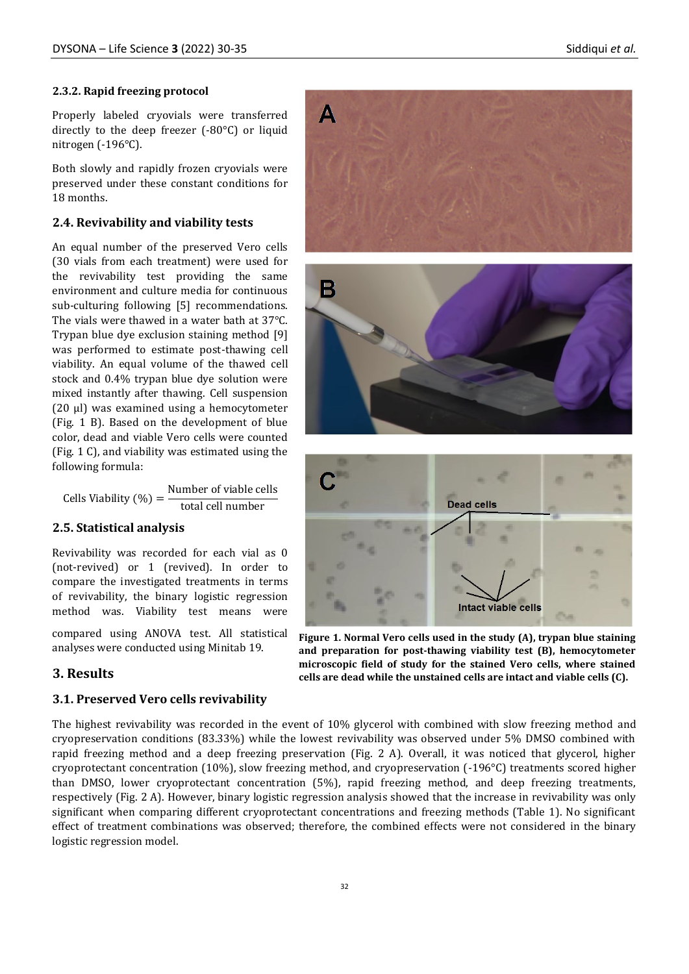#### **2.3.2. Rapid freezing protocol**

Properly labeled cryovials were transferred directly to the deep freezer (-80°C) or liquid nitrogen (-196°C).

Both slowly and rapidly frozen cryovials were preserved under these constant conditions for 18 months.

#### **2.4. Revivability and viability tests**

An equal number of the preserved Vero cells (30 vials from each treatment) were used for the revivability test providing the same environment and culture media for continuous sub-culturing following [5] recommendations. The vials were thawed in a water bath at 37°C. Trypan blue dye exclusion staining method [9] was performed to estimate post-thawing cell viability. An equal volume of the thawed cell stock and 0.4% trypan blue dye solution were mixed instantly after thawing. Cell suspension (20 µl) was examined using a hemocytometer (Fig. 1 B). Based on the development of blue color, dead and viable Vero cells were counted (Fig. 1 C), and viability was estimated using the following formula:

Cells Viability  $(\%) = \frac{\text{Number of viable cells}}{\text{Mean of a}}$ total cell number

#### **2.5. Statistical analysis**

Revivability was recorded for each vial as 0 (not-revived) or 1 (revived). In order to compare the investigated treatments in terms of revivability, the binary logistic regression method was. Viability test means were

compared using ANOVA test. All statistical analyses were conducted using Minitab 19.

#### **3. Results**

#### **3.1. Preserved Vero cells revivability**

The highest revivability was recorded in the event of 10% glycerol with combined with slow freezing method and cryopreservation conditions (83.33%) while the lowest revivability was observed under 5% DMSO combined with rapid freezing method and a deep freezing preservation (Fig. 2 A). Overall, it was noticed that glycerol, higher cryoprotectant concentration (10%), slow freezing method, and cryopreservation (-196°C) treatments scored higher than DMSO, lower cryoprotectant concentration (5%), rapid freezing method, and deep freezing treatments, respectively (Fig. 2 A). However, binary logistic regression analysis showed that the increase in revivability was only significant when comparing different cryoprotectant concentrations and freezing methods (Table 1). No significant effect of treatment combinations was observed; therefore, the combined effects were not considered in the binary logistic regression model.



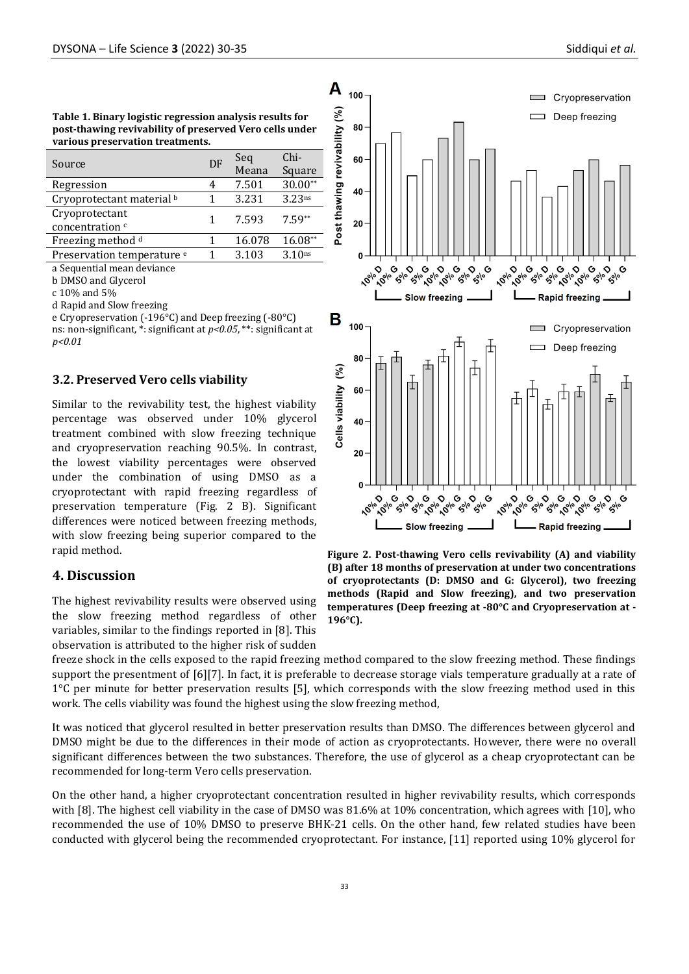| Table 1. Binary logistic regression analysis results for |
|----------------------------------------------------------|
| post-thawing revivability of preserved Vero cells under  |
| various preservation treatments.                         |

| Source                                | DF | Seq    | $Chi-$             |
|---------------------------------------|----|--------|--------------------|
|                                       |    | Meana  | Square             |
| Regression                            |    | 7.501  | $30.00**$          |
| Cryoprotectant material <sup>b</sup>  |    | 3.231  | 3.23 <sup>ns</sup> |
| Cryoprotectant                        |    | 7.593  | $7.59**$           |
| concentration <sup>c</sup>            |    |        |                    |
| Freezing method d                     |    | 16.078 | 16.08**            |
| Preservation temperature <sup>e</sup> |    | 3.103  | 3.10 <sub>ns</sub> |

a Sequential mean deviance

b DMSO and Glycerol

c 10% and 5%

d Rapid and Slow freezing

e Cryopreservation (-196°C) and Deep freezing (-80°C) ns: non-significant, \*: significant at *p<0.05*, \*\*: significant at *p<0.01*

#### **3.2. Preserved Vero cells viability**

Similar to the revivability test, the highest viability percentage was observed under 10% glycerol treatment combined with slow freezing technique and cryopreservation reaching 90.5%. In contrast, the lowest viability percentages were observed under the combination of using DMSO as a cryoprotectant with rapid freezing regardless of preservation temperature (Fig. 2 B). Significant differences were noticed between freezing methods, with slow freezing being superior compared to the rapid method.

### **4. Discussion**

The highest revivability results were observed using the slow freezing method regardless of other variables, similar to the findings reported in [8]. This observation is attributed to the higher risk of sudden



**Figure 2. Post-thawing Vero cells revivability (A) and viability (B) after 18 months of preservation at under two concentrations of cryoprotectants (D: DMSO and G: Glycerol), two freezing methods (Rapid and Slow freezing), and two preservation temperatures (Deep freezing at -80°C and Cryopreservation at - 196°C).**

freeze shock in the cells exposed to the rapid freezing method compared to the slow freezing method. These findings support the presentment of [6][7]. In fact, it is preferable to decrease storage vials temperature gradually at a rate of 1°C per minute for better preservation results [5], which corresponds with the slow freezing method used in this work. The cells viability was found the highest using the slow freezing method,

It was noticed that glycerol resulted in better preservation results than DMSO. The differences between glycerol and DMSO might be due to the differences in their mode of action as cryoprotectants. However, there were no overall significant differences between the two substances. Therefore, the use of glycerol as a cheap cryoprotectant can be recommended for long-term Vero cells preservation.

On the other hand, a higher cryoprotectant concentration resulted in higher revivability results, which corresponds with [8]. The highest cell viability in the case of DMSO was 81.6% at 10% concentration, which agrees with [10], who recommended the use of 10% DMSO to preserve BHK-21 cells. On the other hand, few related studies have been conducted with glycerol being the recommended cryoprotectant. For instance, [11] reported using 10% glycerol for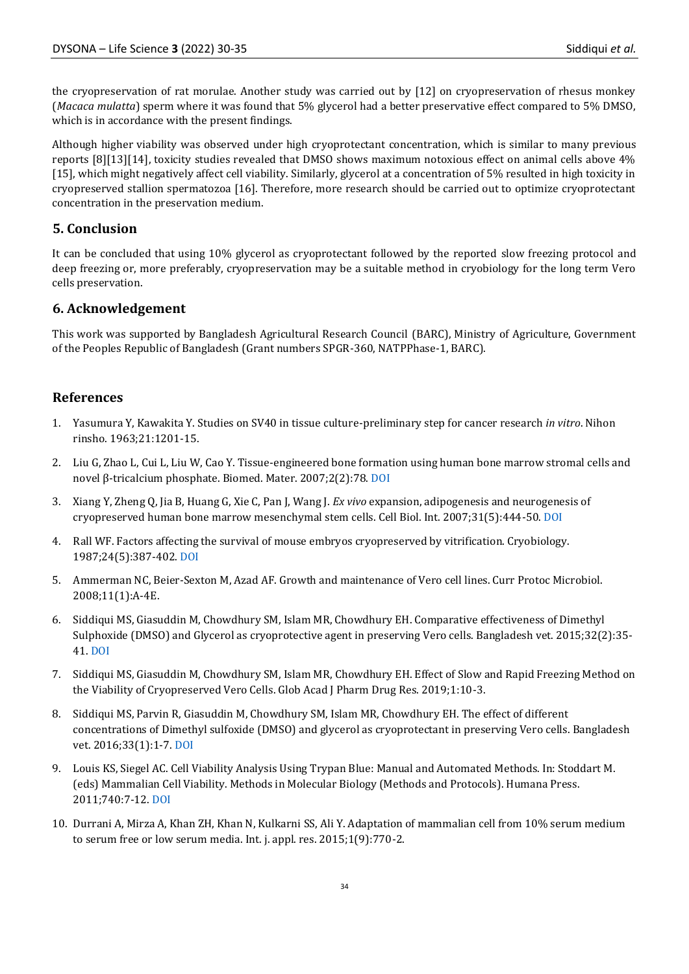the cryopreservation of rat morulae. Another study was carried out by [12] on cryopreservation of rhesus monkey (*Macaca mulatta*) sperm where it was found that 5% glycerol had a better preservative effect compared to 5% DMSO, which is in accordance with the present findings.

Although higher viability was observed under high cryoprotectant concentration, which is similar to many previous reports [8][13][14], toxicity studies revealed that DMSO shows maximum notoxious effect on animal cells above 4% [15], which might negatively affect cell viability. Similarly, glycerol at a concentration of 5% resulted in high toxicity in cryopreserved stallion spermatozoa [16]. Therefore, more research should be carried out to optimize cryoprotectant concentration in the preservation medium.

## **5. Conclusion**

It can be concluded that using 10% glycerol as cryoprotectant followed by the reported slow freezing protocol and deep freezing or, more preferably, cryopreservation may be a suitable method in cryobiology for the long term Vero cells preservation.

## **6. Acknowledgement**

This work was supported by Bangladesh Agricultural Research Council (BARC), Ministry of Agriculture, Government of the Peoples Republic of Bangladesh (Grant numbers SPGR-360, NATPPhase-1, BARC).

## **References**

- 1. Yasumura Y, Kawakita Y. Studies on SV40 in tissue culture-preliminary step for cancer research *in vitro*. Nihon rinsho. 1963;21:1201-15.
- 2. Liu G, Zhao L, Cui L, Liu W, Cao Y. Tissue-engineered bone formation using human bone marrow stromal cells and novel β-tricalcium phosphate. Biomed. Mater. 2007;2(2):78. [DOI](https://doi.org/10.1088/1748-6041/2/2/004)
- 3. Xiang Y, Zheng Q, Jia B, Huang G, Xie C, Pan J, Wang J. *Ex vivo* expansion, adipogenesis and neurogenesis of cryopreserved human bone marrow mesenchymal stem cells. Cell Biol. Int. 2007;31(5):444-50. [DOI](https://doi.org/10.1016/j.cellbi.2006.11.012)
- 4. Rall WF. Factors affecting the survival of mouse embryos cryopreserved by vitrification. Cryobiology. 1987;24(5):387-402. [DOI](https://doi.org/10.1016/0011-2240(87)90042-3)
- 5. Ammerman NC, Beier‐Sexton M, Azad AF. Growth and maintenance of Vero cell lines. Curr Protoc Microbiol. 2008;11(1):A-4E.
- 6. Siddiqui MS, Giasuddin M, Chowdhury SM, Islam MR, Chowdhury EH. Comparative effectiveness of Dimethyl Sulphoxide (DMSO) and Glycerol as cryoprotective agent in preserving Vero cells. Bangladesh vet. 2015;32(2):35- 41[. DOI](https://doi.org/10.3329/bvet.v32i2.30608)
- 7. Siddiqui MS, Giasuddin M, Chowdhury SM, Islam MR, Chowdhury EH. Effect of Slow and Rapid Freezing Method on the Viability of Cryopreserved Vero Cells. Glob Acad J Pharm Drug Res. 2019;1:10-3.
- 8. Siddiqui MS, Parvin R, Giasuddin M, Chowdhury SM, Islam MR, Chowdhury EH. The effect of different concentrations of Dimethyl sulfoxide (DMSO) and glycerol as cryoprotectant in preserving Vero cells. Bangladesh vet. 2016;33(1):1-7. [DOI](https://doi.org/10.3329/bvet.v33i1.33307)
- 9. Louis KS, Siegel AC. Cell Viability Analysis Using Trypan Blue: Manual and Automated Methods. In: Stoddart M. (eds) Mammalian Cell Viability. Methods in Molecular Biology (Methods and Protocols). Humana Press. 2011;740:7-12[. DOI](https://doi.org/10.1007/978-1-61779-108-6_2)
- 10. Durrani A, Mirza A, Khan ZH, Khan N, Kulkarni SS, Ali Y. Adaptation of mammalian cell from 10% serum medium to serum free or low serum media. Int. j. appl. res. 2015;1(9):770-2.